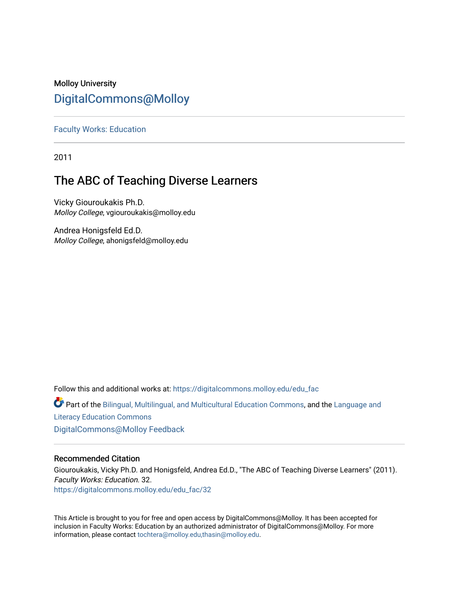## Molloy University [DigitalCommons@Molloy](https://digitalcommons.molloy.edu/)

[Faculty Works: Education](https://digitalcommons.molloy.edu/edu_fac) 

2011

# The ABC of Teaching Diverse Learners

Vicky Giouroukakis Ph.D. Molloy College, vgiouroukakis@molloy.edu

Andrea Honigsfeld Ed.D. Molloy College, ahonigsfeld@molloy.edu

Follow this and additional works at: [https://digitalcommons.molloy.edu/edu\\_fac](https://digitalcommons.molloy.edu/edu_fac?utm_source=digitalcommons.molloy.edu%2Fedu_fac%2F32&utm_medium=PDF&utm_campaign=PDFCoverPages)

Part of the [Bilingual, Multilingual, and Multicultural Education Commons,](https://network.bepress.com/hgg/discipline/785?utm_source=digitalcommons.molloy.edu%2Fedu_fac%2F32&utm_medium=PDF&utm_campaign=PDFCoverPages) and the [Language and](https://network.bepress.com/hgg/discipline/1380?utm_source=digitalcommons.molloy.edu%2Fedu_fac%2F32&utm_medium=PDF&utm_campaign=PDFCoverPages)  [Literacy Education Commons](https://network.bepress.com/hgg/discipline/1380?utm_source=digitalcommons.molloy.edu%2Fedu_fac%2F32&utm_medium=PDF&utm_campaign=PDFCoverPages)

[DigitalCommons@Molloy Feedback](https://molloy.libwizard.com/f/dcfeedback)

#### Recommended Citation

Giouroukakis, Vicky Ph.D. and Honigsfeld, Andrea Ed.D., "The ABC of Teaching Diverse Learners" (2011). Faculty Works: Education. 32. [https://digitalcommons.molloy.edu/edu\\_fac/32](https://digitalcommons.molloy.edu/edu_fac/32?utm_source=digitalcommons.molloy.edu%2Fedu_fac%2F32&utm_medium=PDF&utm_campaign=PDFCoverPages) 

This Article is brought to you for free and open access by DigitalCommons@Molloy. It has been accepted for inclusion in Faculty Works: Education by an authorized administrator of DigitalCommons@Molloy. For more information, please contact [tochtera@molloy.edu,thasin@molloy.edu.](mailto:tochtera@molloy.edu,thasin@molloy.edu)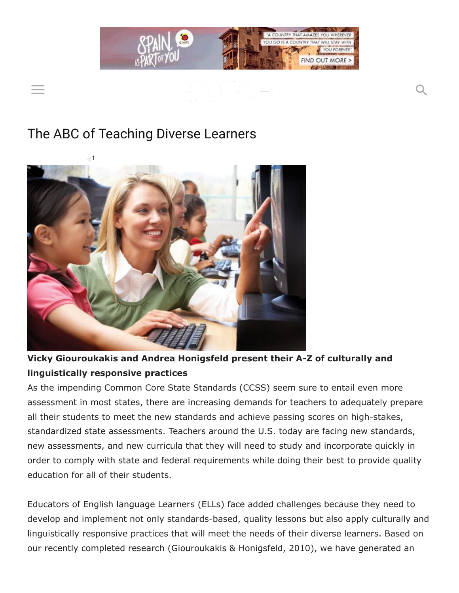

# The ABC of Teaching Diverse Learners



## Vicky Giouroukakis and Andrea Honigsfeld present their A-Z of culturally and linguistically responsive practices

As the impending Common Core State Standards (CCSS) seem sure to entail even more assessment in most states, there are increasing demands for teachers to adequately prepare all their students to meet the new standards and achieve passing scores on high-stakes, standardized state assessments. Teachers around the U.S. today are facing new standards, new assessments, and new curricula that they will need to study and incorporate quickly in order to comply with state and federal requirements while doing their best to provide quality education for all of their students.

Educators of English language Learners (ELLs) face added challenges because they need to develop and implement not only standards-based, quality lessons but also apply culturally and linguistically responsive practices that will meet the needs of their diverse learners. Based on our recently completed research (Giouroukakis & Honigsfeld, 2010), we have generated an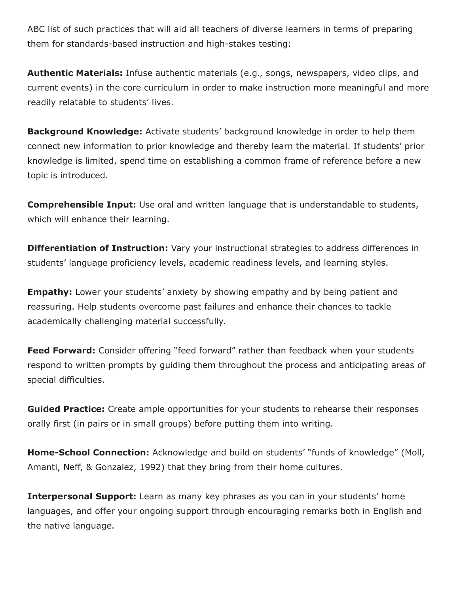ABC list of such practices that will aid all teachers of diverse learners in terms of preparing them for standards-based instruction and high-stakes testing:

Authentic Materials: Infuse authentic materials (e.g., songs, newspapers, video clips, and current events) in the core curriculum in order to make instruction more meaningful and more readily relatable to students' lives.

**Background Knowledge:** Activate students' background knowledge in order to help them connect new information to prior knowledge and thereby learn the material. If students' prior knowledge is limited, spend time on establishing a common frame of reference before a new topic is introduced.

**Comprehensible Input:** Use oral and written language that is understandable to students, which will enhance their learning.

**Differentiation of Instruction:** Vary your instructional strategies to address differences in students' language proficiency levels, academic readiness levels, and learning styles.

**Empathy:** Lower your students' anxiety by showing empathy and by being patient and reassuring. Help students overcome past failures and enhance their chances to tackle academically challenging material successfully.

Feed Forward: Consider offering "feed forward" rather than feedback when your students respond to written prompts by guiding them throughout the process and anticipating areas of special difficulties.

**Guided Practice:** Create ample opportunities for your students to rehearse their responses orally first (in pairs or in small groups) before putting them into writing.

Home-School Connection: Acknowledge and build on students' "funds of knowledge" (Moll, Amanti, Neff, & Gonzalez, 1992) that they bring from their home cultures.

**Interpersonal Support:** Learn as many key phrases as you can in your students' home languages, and offer your ongoing support through encouraging remarks both in English and the native language.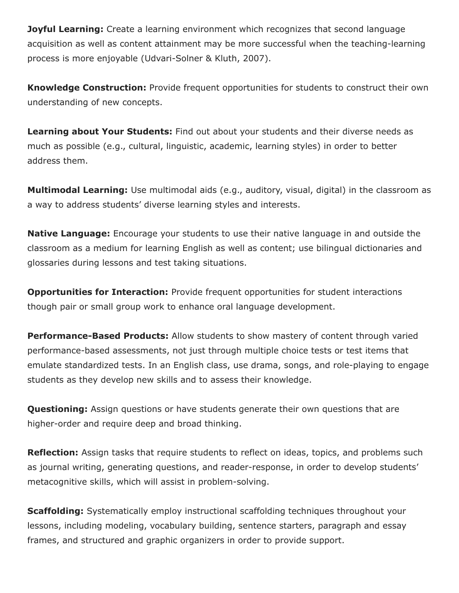**Joyful Learning:** Create a learning environment which recognizes that second language acquisition as well as content attainment may be more successful when the teaching-learning process is more enjoyable (Udvari-Solner & Kluth, 2007).

**Knowledge Construction:** Provide frequent opportunities for students to construct their own understanding of new concepts.

Learning about Your Students: Find out about your students and their diverse needs as much as possible (e.g., cultural, linguistic, academic, learning styles) in order to better address them.

**Multimodal Learning:** Use multimodal aids (e.g., auditory, visual, digital) in the classroom as a way to address students' diverse learning styles and interests.

**Native Language:** Encourage your students to use their native language in and outside the classroom as a medium for learning English as well as content; use bilingual dictionaries and glossaries during lessons and test taking situations.

**Opportunities for Interaction:** Provide frequent opportunities for student interactions though pair or small group work to enhance oral language development.

**Performance-Based Products:** Allow students to show mastery of content through varied performance-based assessments, not just through multiple choice tests or test items that emulate standardized tests. In an English class, use drama, songs, and role-playing to engage students as they develop new skills and to assess their knowledge.

**Questioning:** Assign questions or have students generate their own questions that are higher-order and require deep and broad thinking.

**Reflection:** Assign tasks that require students to reflect on ideas, topics, and problems such as journal writing, generating questions, and reader-response, in order to develop students' metacognitive skills, which will assist in problem-solving.

**Scaffolding:** Systematically employ instructional scaffolding techniques throughout your lessons, including modeling, vocabulary building, sentence starters, paragraph and essay frames, and structured and graphic organizers in order to provide support.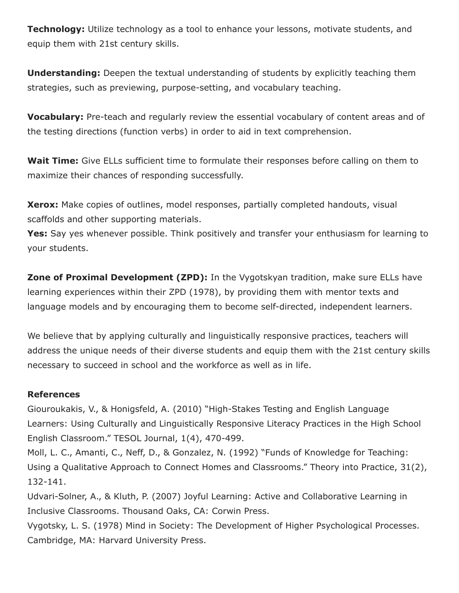Technology: Utilize technology as a tool to enhance your lessons, motivate students, and equip them with 21st century skills.

**Understanding:** Deepen the textual understanding of students by explicitly teaching them strategies, such as previewing, purpose-setting, and vocabulary teaching.

Vocabulary: Pre-teach and regularly review the essential vocabulary of content areas and of the testing directions (function verbs) in order to aid in text comprehension.

Wait Time: Give ELLs sufficient time to formulate their responses before calling on them to maximize their chances of responding successfully.

**Xerox:** Make copies of outlines, model responses, partially completed handouts, visual scaffolds and other supporting materials.

**Yes:** Say yes whenever possible. Think positively and transfer your enthusiasm for learning to your students.

Zone of Proximal Development (ZPD): In the Vygotskyan tradition, make sure ELLs have learning experiences within their ZPD (1978), by providing them with mentor texts and language models and by encouraging them to become self-directed, independent learners.

We believe that by applying culturally and linguistically responsive practices, teachers will address the unique needs of their diverse students and equip them with the 21st century skills necessary to succeed in school and the workforce as well as in life.

### References

Giouroukakis, V., & Honigsfeld, A. (2010) "High-Stakes Testing and English Language Learners: Using Culturally and Linguistically Responsive Literacy Practices in the High School English Classroom." TESOL Journal, 1(4), 470-499.

Moll, L. C., Amanti, C., Neff, D., & Gonzalez, N. (1992) "Funds of Knowledge for Teaching: Using a Qualitative Approach to Connect Homes and Classrooms." Theory into Practice, 31(2), 132-141.

Udvari-Solner, A., & Kluth, P. (2007) Joyful Learning: Active and Collaborative Learning in Inclusive Classrooms. Thousand Oaks, CA: Corwin Press.

Vygotsky, L. S. (1978) Mind in Society: The Development of Higher Psychological Processes. Cambridge, MA: Harvard University Press.